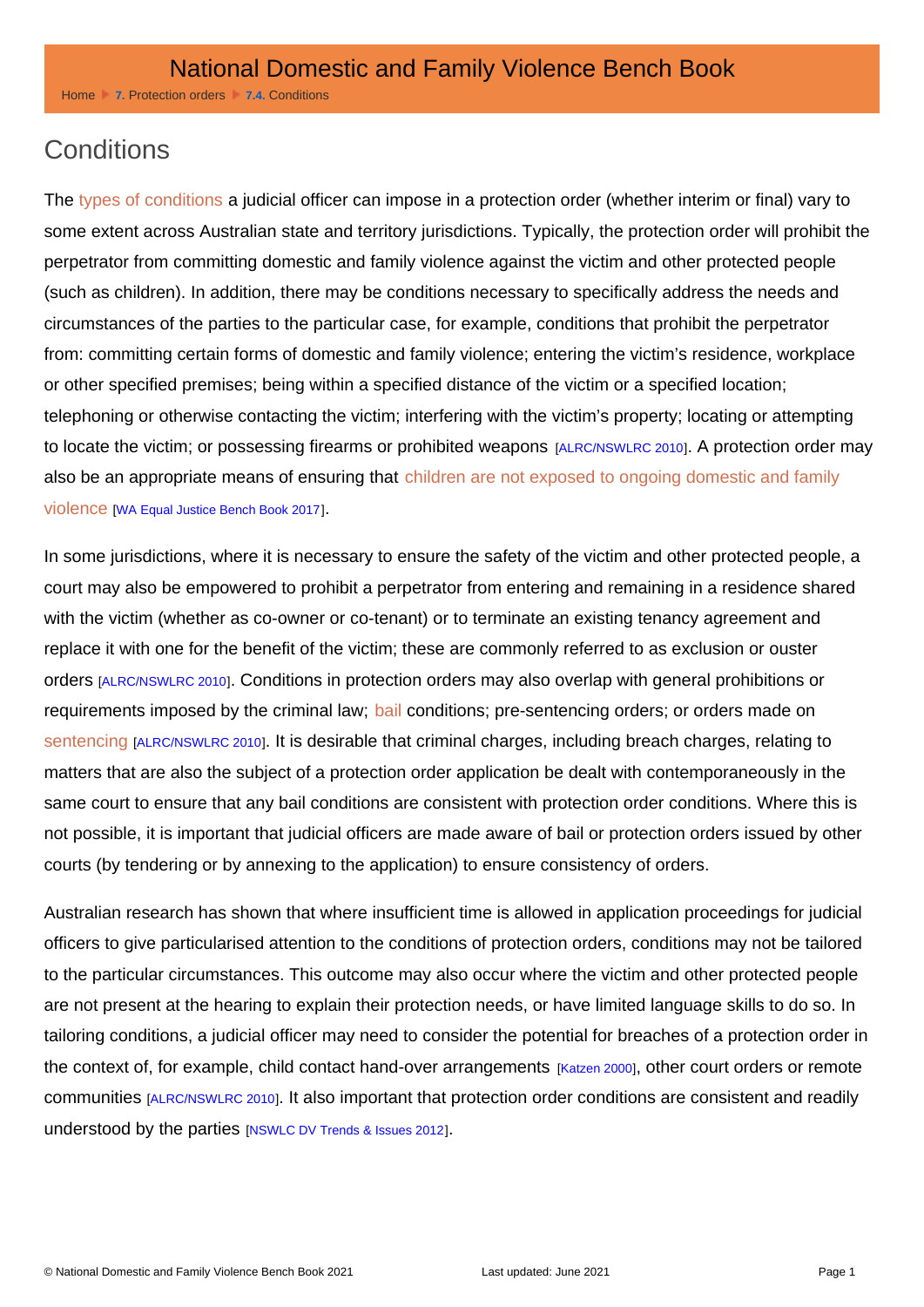Home [7.](http://dfvbenchbook.aija.org.au/protection-orders) [Protection order](http://dfvbenchbook.aija.org.au/protection-orders)s [7.4.](http://dfvbenchbook.aija.org.au/protection-orders/conditions) [Conditio](http://dfvbenchbook.aija.org.au/protection-orders/conditions)ns

## **Conditions**

The [types of conditions](http://dfvbenchbook.aija.org.au/protection-orders/sample-conditions) a judicial officer can impose in a protection order (whether interim or final) vary to some extent across Australian state and territory jurisdictions. Typically, the protection order will prohibit the perpetrator from committing domestic and family violence against the victim and other protected people (such as children). In addition, there may be conditions necessary to specifically address the needs and circumstances of the parties to the particular case, for example, conditions that prohibit the perpetrator from: committing certain forms of domestic and family violence; entering the victim's residence, workplace or other specified premises; being within a specified distance of the victim or a specified location; telephoning or otherwise contacting the victim; interfering with the victim's property; locating or attempting to locate the victim; or possessing firearms or prohibited weapons [ALRC/NSWLRC 2010]. A protection order may also be an appropriate means of ensuring that children are not exposed to ongoing domestic and family [violence](http://dfvbenchbook.aija.org.au/understanding-domestic-and-family-violence/exposing-children) [WA Equal Justice Bench Book 2017].

In some jurisdictions, where it is necessary to ensure the safety of the victim and other protected people, a court may also be empowered to prohibit a perpetrator from entering and remaining in a residence shared with the victim (whether as co-owner or co-tenant) or to terminate an existing tenancy agreement and replace it with one for the benefit of the victim; these are commonly referred to as exclusion or ouster orders[ALRC/NSWLRC 2010]. Conditions in protection orders may also overlap with general prohibitions or requirements imposed by the criminal law; [bail](http://dfvbenchbook.aija.org.au/responses-in-criminal-proceedings/bail) conditions; pre-sentencing orders; or orders made on [sentencing](http://dfvbenchbook.aija.org.au/options/intermediate-sanctions) [ALRC/NSWLRC 2010]. It is desirable that criminal charges, including breach charges, relating to matters that are also the subject of a protection order application be dealt with contemporaneously in the same court to ensure that any bail conditions are consistent with protection order conditions. Where this is not possible, it is important that judicial officers are made aware of bail or protection orders issued by other courts (by tendering or by annexing to the application) to ensure consistency of orders.

Australian research has shown that where insufficient time is allowed in application proceedings for judicial officers to give particularised attention to the conditions of protection orders, conditions may not be tailored to the particular circumstances. This outcome may also occur where the victim and other protected people are not present at the hearing to explain their protection needs, or have limited language skills to do so. In tailoring conditions, a judicial officer may need to consider the potential for breaches of a protection order in the context of, for example, child contact hand-over arrangements [Katzen 2000], other court orders or remote communities [ALRC/NSWLRC 2010]. It also important that protection order conditions are consistent and readily understood by the parties [NSWLC DV Trends & Issues 2012].